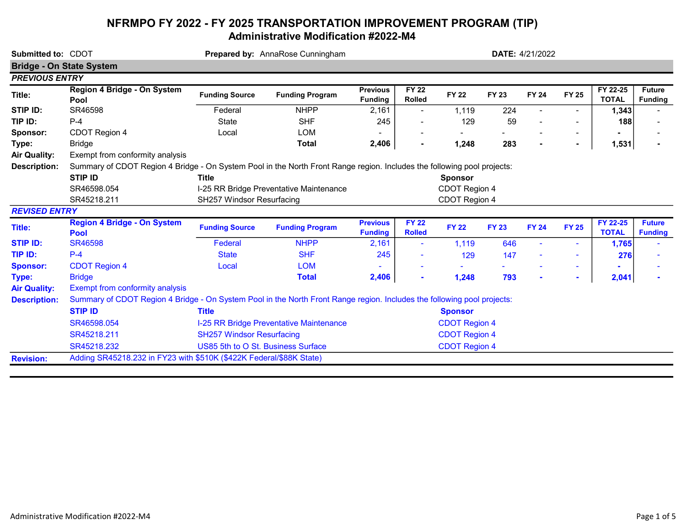## NFRMPO FY 2022 - FY 2025 TRANSPORTATION IMPROVEMENT PROGRAM (TIP) Administrative Modification #2022-M4

| <b>Bridge - On State System</b><br><b>PREVIOUS ENTRY</b> |                                                                                                                         |                                         |                                         |                                   |                               | <b>DATE: 4/21/2022</b> |              |                |                |                          |                                 |  |  |  |
|----------------------------------------------------------|-------------------------------------------------------------------------------------------------------------------------|-----------------------------------------|-----------------------------------------|-----------------------------------|-------------------------------|------------------------|--------------|----------------|----------------|--------------------------|---------------------------------|--|--|--|
|                                                          |                                                                                                                         |                                         |                                         |                                   |                               |                        |              |                |                |                          |                                 |  |  |  |
|                                                          |                                                                                                                         |                                         |                                         |                                   |                               |                        |              |                |                |                          |                                 |  |  |  |
| Title:                                                   | Region 4 Bridge - On System<br>Pool                                                                                     | <b>Funding Source</b>                   | <b>Funding Program</b>                  | <b>Previous</b><br><b>Funding</b> | <b>FY 22</b><br><b>Rolled</b> | <b>FY 22</b>           | <b>FY 23</b> | <b>FY 24</b>   | <b>FY 25</b>   | FY 22-25<br><b>TOTAL</b> | <b>Future</b><br><b>Funding</b> |  |  |  |
| STIP ID:                                                 | SR46598                                                                                                                 | Federal                                 | <b>NHPP</b>                             | 2,161                             | $\overline{\phantom{a}}$      | 1,119                  | 224          | $\blacksquare$ |                | 1,343                    |                                 |  |  |  |
| TIP ID:                                                  | $P - 4$                                                                                                                 | <b>State</b>                            | <b>SHF</b>                              | 245                               |                               | 129                    | 59           |                |                | 188                      |                                 |  |  |  |
| Sponsor:                                                 | CDOT Region 4                                                                                                           | Local                                   | <b>LOM</b>                              |                                   |                               |                        |              |                |                |                          |                                 |  |  |  |
| Type:                                                    | <b>Bridge</b>                                                                                                           |                                         | <b>Total</b>                            | 2,406                             |                               | 1,248                  | 283          |                | $\blacksquare$ | 1,531                    |                                 |  |  |  |
| <b>Air Quality:</b>                                      | Exempt from conformity analysis                                                                                         |                                         |                                         |                                   |                               |                        |              |                |                |                          |                                 |  |  |  |
| <b>Description:</b>                                      | Summary of CDOT Region 4 Bridge - On System Pool in the North Front Range region. Includes the following pool projects: |                                         |                                         |                                   |                               |                        |              |                |                |                          |                                 |  |  |  |
|                                                          | <b>STIP ID</b>                                                                                                          | <b>Title</b>                            |                                         |                                   | <b>Sponsor</b>                |                        |              |                |                |                          |                                 |  |  |  |
|                                                          | SR46598.054                                                                                                             | I-25 RR Bridge Preventative Maintenance | CDOT Region 4                           |                                   |                               |                        |              |                |                |                          |                                 |  |  |  |
|                                                          | SH257 Windsor Resurfacing<br>SR45218.211                                                                                |                                         |                                         |                                   |                               | CDOT Region 4          |              |                |                |                          |                                 |  |  |  |
| <b>REVISED ENTRY</b>                                     |                                                                                                                         |                                         |                                         |                                   |                               |                        |              |                |                |                          |                                 |  |  |  |
| Title:                                                   | <b>Region 4 Bridge - On System</b><br>Pool                                                                              | <b>Funding Source</b>                   | <b>Funding Program</b>                  | <b>Previous</b><br><b>Funding</b> | <b>FY 22</b><br><b>Rolled</b> | <b>FY 22</b>           | <b>FY 23</b> | <b>FY 24</b>   | <b>FY 25</b>   | FY 22-25<br><b>TOTAL</b> | <b>Future</b><br><b>Funding</b> |  |  |  |
| <b>STIP ID:</b>                                          | <b>SR46598</b>                                                                                                          | Federal                                 | <b>NHPP</b>                             | 2,161                             | $\blacksquare$                | 1,119                  | 646          |                |                | 1,765                    |                                 |  |  |  |
| TIP ID:                                                  | $P-4$                                                                                                                   | <b>State</b>                            | <b>SHF</b>                              | 245                               |                               | 129                    | 147          |                |                | 276                      |                                 |  |  |  |
| <b>Sponsor:</b>                                          | <b>CDOT Region 4</b>                                                                                                    | Local                                   | <b>LOM</b>                              |                                   |                               |                        |              |                | $\sim$         |                          |                                 |  |  |  |
| Type:                                                    | <b>Bridge</b>                                                                                                           |                                         | <b>Total</b>                            | 2,406                             |                               | 1,248                  | 793          | $\blacksquare$ | $\sim$         | 2,041                    |                                 |  |  |  |
| <b>Air Quality:</b>                                      | <b>Exempt from conformity analysis</b>                                                                                  |                                         |                                         |                                   |                               |                        |              |                |                |                          |                                 |  |  |  |
| <b>Description:</b>                                      | Summary of CDOT Region 4 Bridge - On System Pool in the North Front Range region. Includes the following pool projects: |                                         |                                         |                                   |                               |                        |              |                |                |                          |                                 |  |  |  |
|                                                          | <b>STIP ID</b>                                                                                                          | <b>Title</b>                            |                                         |                                   | <b>Sponsor</b>                |                        |              |                |                |                          |                                 |  |  |  |
|                                                          | SR46598.054                                                                                                             |                                         | I-25 RR Bridge Preventative Maintenance |                                   |                               | <b>CDOT Region 4</b>   |              |                |                |                          |                                 |  |  |  |
|                                                          | SR45218.211                                                                                                             | <b>SH257 Windsor Resurfacing</b>        |                                         |                                   |                               | <b>CDOT Region 4</b>   |              |                |                |                          |                                 |  |  |  |
|                                                          | SR45218.232                                                                                                             | US85 5th to O St. Business Surface      |                                         |                                   |                               | <b>CDOT Region 4</b>   |              |                |                |                          |                                 |  |  |  |
| <b>Revision:</b>                                         | Adding SR45218.232 in FY23 with \$510K (\$422K Federal/\$88K State)                                                     |                                         |                                         |                                   |                               |                        |              |                |                |                          |                                 |  |  |  |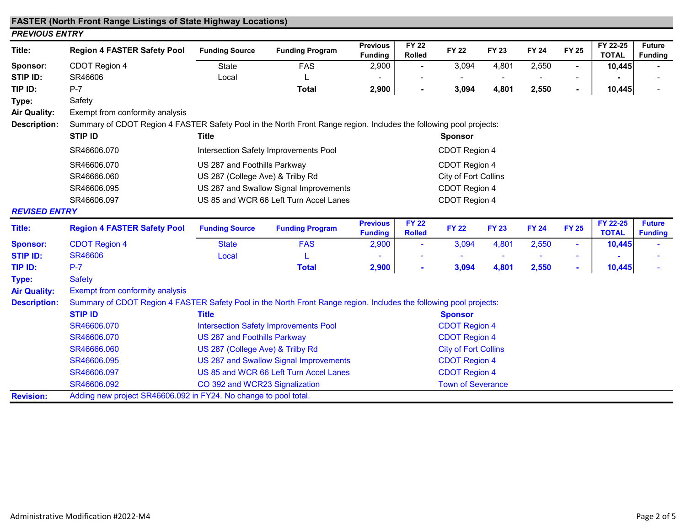## FASTER (North Front Range Listings of State Highway Locations)

| Title:               | <b>Region 4 FASTER Safety Pool</b>                                                                                 | <b>Funding Source</b>                 | <b>Funding Program</b>                       | <b>Previous</b><br><b>Funding</b>      | <b>FY 22</b><br><b>Rolled</b> | <b>FY 22</b>         | <b>FY 23</b> | <b>FY 24</b> | <b>FY 25</b>             | FY 22-25<br><b>TOTAL</b> | <b>Future</b><br><b>Funding</b> |  |  |
|----------------------|--------------------------------------------------------------------------------------------------------------------|---------------------------------------|----------------------------------------------|----------------------------------------|-------------------------------|----------------------|--------------|--------------|--------------------------|--------------------------|---------------------------------|--|--|
| Sponsor:             | CDOT Region 4                                                                                                      | <b>State</b>                          | <b>FAS</b>                                   | 2,900                                  |                               | 3,094                | 4,801        | 2,550        | $\overline{\phantom{0}}$ | 10,445                   |                                 |  |  |
| STIP ID:             | SR46606                                                                                                            | Local                                 |                                              |                                        |                               |                      |              |              |                          |                          |                                 |  |  |
| TIP ID:              | $P-7$                                                                                                              |                                       | <b>Total</b>                                 | 2,900                                  | ٠                             | 3,094                | 4,801        | 2,550        | ٠                        | 10,445                   |                                 |  |  |
| Type:                | Safety                                                                                                             |                                       |                                              |                                        |                               |                      |              |              |                          |                          |                                 |  |  |
| Air Quality:         | Exempt from conformity analysis                                                                                    |                                       |                                              |                                        |                               |                      |              |              |                          |                          |                                 |  |  |
| <b>Description:</b>  | Summary of CDOT Region 4 FASTER Safety Pool in the North Front Range region. Includes the following pool projects: |                                       |                                              |                                        |                               |                      |              |              |                          |                          |                                 |  |  |
|                      | <b>STIP ID</b>                                                                                                     | <b>Title</b>                          |                                              |                                        | <b>Sponsor</b>                |                      |              |              |                          |                          |                                 |  |  |
|                      | SR46606.070                                                                                                        | Intersection Safety Improvements Pool |                                              |                                        | CDOT Region 4                 |                      |              |              |                          |                          |                                 |  |  |
|                      | SR46606.070                                                                                                        | US 287 and Foothills Parkway          |                                              |                                        | CDOT Region 4                 |                      |              |              |                          |                          |                                 |  |  |
|                      | SR46666.060                                                                                                        | US 287 (College Ave) & Trilby Rd      |                                              |                                        | City of Fort Collins          |                      |              |              |                          |                          |                                 |  |  |
|                      | SR46606.095                                                                                                        |                                       | US 287 and Swallow Signal Improvements       |                                        |                               | CDOT Region 4        |              |              |                          |                          |                                 |  |  |
|                      | SR46606.097                                                                                                        |                                       | US 85 and WCR 66 Left Turn Accel Lanes       |                                        |                               | CDOT Region 4        |              |              |                          |                          |                                 |  |  |
| <b>REVISED ENTRY</b> |                                                                                                                    |                                       |                                              |                                        |                               |                      |              |              |                          |                          |                                 |  |  |
| <b>Title:</b>        | <b>Region 4 FASTER Safety Pool</b>                                                                                 | <b>Funding Source</b>                 | <b>Funding Program</b>                       | <b>Previous</b><br><b>Funding</b>      | <b>FY 22</b><br><b>Rolled</b> | <b>FY 22</b>         | <b>FY 23</b> | <b>FY 24</b> | <b>FY 25</b>             | FY 22-25<br><b>TOTAL</b> | <b>Future</b><br><b>Funding</b> |  |  |
| <b>Sponsor:</b>      | <b>CDOT Region 4</b>                                                                                               | <b>State</b>                          | <b>FAS</b>                                   | 2,900                                  | $\blacksquare$                | 3,094                | 4,801        | 2,550        |                          | 10,445                   |                                 |  |  |
| <b>STIP ID:</b>      | <b>SR46606</b>                                                                                                     | Local                                 |                                              |                                        |                               |                      |              |              |                          |                          |                                 |  |  |
| TIP ID:              | $P-7$                                                                                                              |                                       | <b>Total</b>                                 | 2,900                                  |                               | 3,094                | 4,801        | 2,550        | ٠                        | 10,445                   |                                 |  |  |
| Type:                | <b>Safety</b>                                                                                                      |                                       |                                              |                                        |                               |                      |              |              |                          |                          |                                 |  |  |
| <b>Air Quality:</b>  | <b>Exempt from conformity analysis</b>                                                                             |                                       |                                              |                                        |                               |                      |              |              |                          |                          |                                 |  |  |
| <b>Description:</b>  | Summary of CDOT Region 4 FASTER Safety Pool in the North Front Range region. Includes the following pool projects: |                                       |                                              |                                        |                               |                      |              |              |                          |                          |                                 |  |  |
|                      | <b>STIP ID</b>                                                                                                     | <b>Title</b>                          |                                              |                                        |                               |                      |              |              |                          |                          |                                 |  |  |
|                      | SR46606.070                                                                                                        |                                       | <b>Intersection Safety Improvements Pool</b> | <b>Sponsor</b><br><b>CDOT Region 4</b> |                               |                      |              |              |                          |                          |                                 |  |  |
|                      | SR46606.070                                                                                                        | US 287 and Foothills Parkway          |                                              | <b>CDOT Region 4</b>                   |                               |                      |              |              |                          |                          |                                 |  |  |
|                      |                                                                                                                    |                                       |                                              | <b>City of Fort Collins</b>            |                               |                      |              |              |                          |                          |                                 |  |  |
|                      | SR46666.060                                                                                                        | US 287 (College Ave) & Trilby Rd      |                                              |                                        |                               |                      |              |              |                          |                          |                                 |  |  |
|                      | SR46606.095                                                                                                        |                                       | US 287 and Swallow Signal Improvements       |                                        |                               | <b>CDOT Region 4</b> |              |              |                          |                          |                                 |  |  |

SR46606.092 CO 392 and WCR23 Signalization CO 392 and WCR23 Signalization Revision: Adding new project SR46606.092 in FY24. No change to pool total.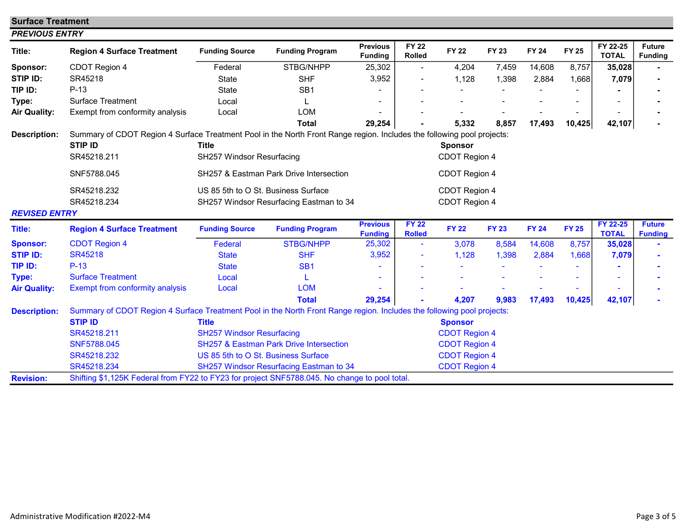| <b>Surface Treatment</b> |                                                                                                                                                         |                                           |                                                    |                                   |                                 |                                |              |              |              |                          |                                 |
|--------------------------|---------------------------------------------------------------------------------------------------------------------------------------------------------|-------------------------------------------|----------------------------------------------------|-----------------------------------|---------------------------------|--------------------------------|--------------|--------------|--------------|--------------------------|---------------------------------|
| <b>PREVIOUS ENTRY</b>    |                                                                                                                                                         |                                           |                                                    |                                   |                                 |                                |              |              |              |                          |                                 |
| Title:                   | <b>Region 4 Surface Treatment</b>                                                                                                                       | <b>Funding Source</b>                     | <b>Funding Program</b>                             | <b>Previous</b><br><b>Funding</b> | <b>FY 22</b><br><b>Rolled</b>   | <b>FY 22</b>                   | <b>FY 23</b> | <b>FY 24</b> | <b>FY 25</b> | FY 22-25<br><b>TOTAL</b> | <b>Future</b><br><b>Funding</b> |
| Sponsor:                 | CDOT Region 4                                                                                                                                           | Federal                                   | STBG/NHPP                                          | 25,302                            | $\overline{\phantom{a}}$        | 4,204                          | 7,459        | 14,608       | 8,757        | 35,028                   |                                 |
| STIP ID:                 | SR45218                                                                                                                                                 | <b>State</b>                              | <b>SHF</b>                                         | 3,952                             |                                 | 1,128                          | 1,398        | 2,884        | 1,668        | 7,079                    |                                 |
| TIP ID:                  | $P-13$                                                                                                                                                  | <b>State</b>                              | SB <sub>1</sub>                                    |                                   |                                 |                                |              |              |              |                          |                                 |
| Type:                    | <b>Surface Treatment</b>                                                                                                                                | Local                                     |                                                    |                                   |                                 |                                |              |              |              |                          |                                 |
| <b>Air Quality:</b>      | Exempt from conformity analysis                                                                                                                         | Local                                     | <b>LOM</b>                                         |                                   |                                 |                                |              |              |              |                          |                                 |
|                          |                                                                                                                                                         |                                           | <b>Total</b>                                       | 29,254                            |                                 | 5,332                          | 8,857        | 17,493       | 10,425       | 42,107                   |                                 |
| <b>Description:</b>      | Summary of CDOT Region 4 Surface Treatment Pool in the North Front Range region. Includes the following pool projects:<br><b>STIP ID</b><br>SR45218.211 | <b>Title</b><br>SH257 Windsor Resurfacing |                                                    |                                   | <b>Sponsor</b><br>CDOT Region 4 |                                |              |              |              |                          |                                 |
|                          | SNF5788.045                                                                                                                                             |                                           | SH257 & Eastman Park Drive Intersection            |                                   |                                 | CDOT Region 4                  |              |              |              |                          |                                 |
|                          | SR45218.232<br>SR45218.234                                                                                                                              | US 85 5th to O St. Business Surface       | SH257 Windsor Resurfacing Eastman to 34            |                                   |                                 | CDOT Region 4<br>CDOT Region 4 |              |              |              |                          |                                 |
| <b>REVISED ENTRY</b>     |                                                                                                                                                         |                                           |                                                    |                                   |                                 |                                |              |              |              |                          |                                 |
| <b>Title:</b>            | <b>Region 4 Surface Treatment</b>                                                                                                                       | <b>Funding Source</b>                     | <b>Funding Program</b>                             | <b>Previous</b><br><b>Funding</b> | <b>FY 22</b><br><b>Rolled</b>   | <b>FY 22</b>                   | <b>FY 23</b> | <b>FY 24</b> | <b>FY 25</b> | FY 22-25<br><b>TOTAL</b> | <b>Future</b><br><b>Funding</b> |
| <b>Sponsor:</b>          | <b>CDOT Region 4</b>                                                                                                                                    | Federal                                   | <b>STBG/NHPP</b>                                   | 25,302                            | $\blacksquare$                  | 3,078                          | 8,584        | 14,608       | 8,757        | 35,028                   |                                 |
| <b>STIP ID:</b>          | <b>SR45218</b>                                                                                                                                          | <b>State</b>                              | <b>SHF</b>                                         | 3,952                             |                                 | 1,128                          | 1,398        | 2,884        | 1,668        | 7,079                    |                                 |
| TIP ID:                  | $P-13$                                                                                                                                                  | <b>State</b>                              | SB <sub>1</sub>                                    |                                   |                                 |                                |              |              |              |                          |                                 |
| Type:                    | <b>Surface Treatment</b>                                                                                                                                | Local                                     | L                                                  |                                   |                                 |                                |              |              |              |                          |                                 |
| <b>Air Quality:</b>      | <b>Exempt from conformity analysis</b>                                                                                                                  | Local                                     | <b>LOM</b>                                         |                                   |                                 |                                |              |              |              |                          |                                 |
|                          |                                                                                                                                                         |                                           | <b>Total</b>                                       | 29,254                            |                                 | 4,207                          | 9,983        | 17,493       | 10,425       | 42,107                   |                                 |
| <b>Description:</b>      | Summary of CDOT Region 4 Surface Treatment Pool in the North Front Range region. Includes the following pool projects:                                  |                                           |                                                    |                                   |                                 |                                |              |              |              |                          |                                 |
|                          | <b>STIP ID</b>                                                                                                                                          | <b>Title</b>                              |                                                    |                                   |                                 | <b>Sponsor</b>                 |              |              |              |                          |                                 |
|                          | SR45218.211                                                                                                                                             | <b>SH257 Windsor Resurfacing</b>          |                                                    | <b>CDOT Region 4</b>              |                                 |                                |              |              |              |                          |                                 |
|                          | SNF5788.045                                                                                                                                             |                                           | <b>SH257 &amp; Eastman Park Drive Intersection</b> |                                   |                                 | <b>CDOT Region 4</b>           |              |              |              |                          |                                 |
|                          | SR45218.232                                                                                                                                             | US 85 5th to O St. Business Surface       |                                                    |                                   |                                 | <b>CDOT Region 4</b>           |              |              |              |                          |                                 |
|                          | SR45218.234                                                                                                                                             |                                           | SH257 Windsor Resurfacing Eastman to 34            |                                   |                                 | <b>CDOT Region 4</b>           |              |              |              |                          |                                 |
| <b>Revision:</b>         | Shifting \$1,125K Federal from FY22 to FY23 for project SNF5788.045. No change to pool total.                                                           |                                           |                                                    |                                   |                                 |                                |              |              |              |                          |                                 |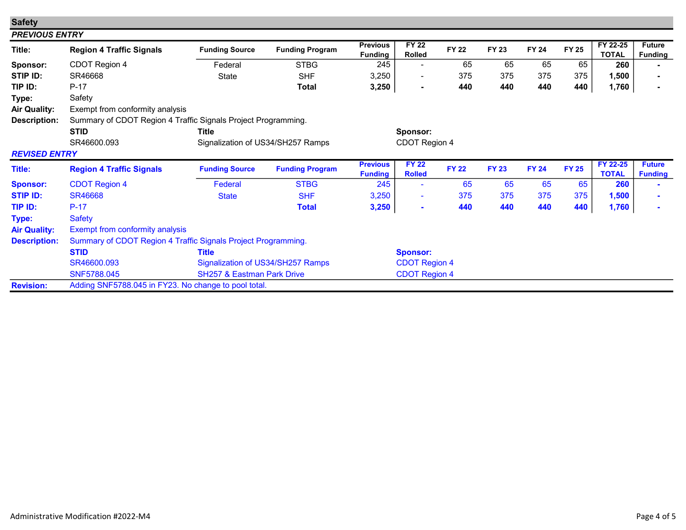| <b>Safety</b>         |                                                               |                                       |                        |                                   |                               |              |              |              |              |                          |                                 |  |
|-----------------------|---------------------------------------------------------------|---------------------------------------|------------------------|-----------------------------------|-------------------------------|--------------|--------------|--------------|--------------|--------------------------|---------------------------------|--|
| <b>PREVIOUS ENTRY</b> |                                                               |                                       |                        |                                   |                               |              |              |              |              |                          |                                 |  |
| Title:                | <b>Region 4 Traffic Signals</b>                               | <b>Funding Source</b>                 | <b>Funding Program</b> | <b>Previous</b><br><b>Funding</b> | <b>FY 22</b><br><b>Rolled</b> | <b>FY 22</b> | <b>FY 23</b> | <b>FY 24</b> | <b>FY 25</b> | FY 22-25<br><b>TOTAL</b> | <b>Future</b><br><b>Funding</b> |  |
| Sponsor:              | CDOT Region 4                                                 | Federal                               | <b>STBG</b>            | 245                               | $\overline{\phantom{a}}$      | 65           | 65           | 65           | 65           | 260                      |                                 |  |
| STIP ID:              | SR46668                                                       | State                                 | <b>SHF</b>             | 3,250                             | $\overline{\phantom{a}}$      | 375          | 375          | 375          | 375          | 1,500                    |                                 |  |
| TIP ID:               | $P-17$                                                        |                                       | <b>Total</b>           | 3,250                             | $\blacksquare$                | 440          | 440          | 440          | 440          | 1,760                    |                                 |  |
| Type:                 | Safety                                                        |                                       |                        |                                   |                               |              |              |              |              |                          |                                 |  |
| <b>Air Quality:</b>   | Exempt from conformity analysis                               |                                       |                        |                                   |                               |              |              |              |              |                          |                                 |  |
| <b>Description:</b>   | Summary of CDOT Region 4 Traffic Signals Project Programming. |                                       |                        |                                   |                               |              |              |              |              |                          |                                 |  |
|                       | <b>STID</b>                                                   | <b>Title</b>                          |                        | Sponsor:                          |                               |              |              |              |              |                          |                                 |  |
|                       | SR46600.093                                                   | Signalization of US34/SH257 Ramps     |                        |                                   | CDOT Region 4                 |              |              |              |              |                          |                                 |  |
| <b>REVISED ENTRY</b>  |                                                               |                                       |                        |                                   |                               |              |              |              |              |                          |                                 |  |
| Title:                | <b>Region 4 Traffic Signals</b>                               | <b>Funding Source</b>                 | <b>Funding Program</b> | <b>Previous</b><br><b>Funding</b> | <b>FY 22</b><br><b>Rolled</b> | <b>FY 22</b> | <b>FY 23</b> | <b>FY 24</b> | <b>FY 25</b> | FY 22-25<br><b>TOTAL</b> | <b>Future</b><br><b>Funding</b> |  |
| <b>Sponsor:</b>       | <b>CDOT Region 4</b>                                          | Federal                               | <b>STBG</b>            | 245                               | ٠                             | 65           | 65           | 65           | 65           | 260                      |                                 |  |
| <b>STIP ID:</b>       | <b>SR46668</b>                                                | <b>State</b>                          | <b>SHF</b>             | 3,250                             | $\blacksquare$                | 375          | 375          | 375          | 375          | 1,500                    |                                 |  |
| TIP ID:               | $P-17$                                                        |                                       | <b>Total</b>           | 3,250                             | $\blacksquare$                | 440          | 440          | 440          | 440          | 1,760                    |                                 |  |
| Type:                 | <b>Safety</b>                                                 |                                       |                        |                                   |                               |              |              |              |              |                          |                                 |  |
| <b>Air Quality:</b>   | Exempt from conformity analysis                               |                                       |                        |                                   |                               |              |              |              |              |                          |                                 |  |
| <b>Description:</b>   | Summary of CDOT Region 4 Traffic Signals Project Programming. |                                       |                        |                                   |                               |              |              |              |              |                          |                                 |  |
|                       | <b>STID</b>                                                   | <b>Title</b>                          |                        |                                   | <b>Sponsor:</b>               |              |              |              |              |                          |                                 |  |
|                       | SR46600.093                                                   | Signalization of US34/SH257 Ramps     |                        |                                   | <b>CDOT Region 4</b>          |              |              |              |              |                          |                                 |  |
|                       | SNF5788.045                                                   | <b>SH257 &amp; Eastman Park Drive</b> |                        |                                   | <b>CDOT Region 4</b>          |              |              |              |              |                          |                                 |  |
|                       |                                                               |                                       |                        |                                   |                               |              |              |              |              |                          |                                 |  |